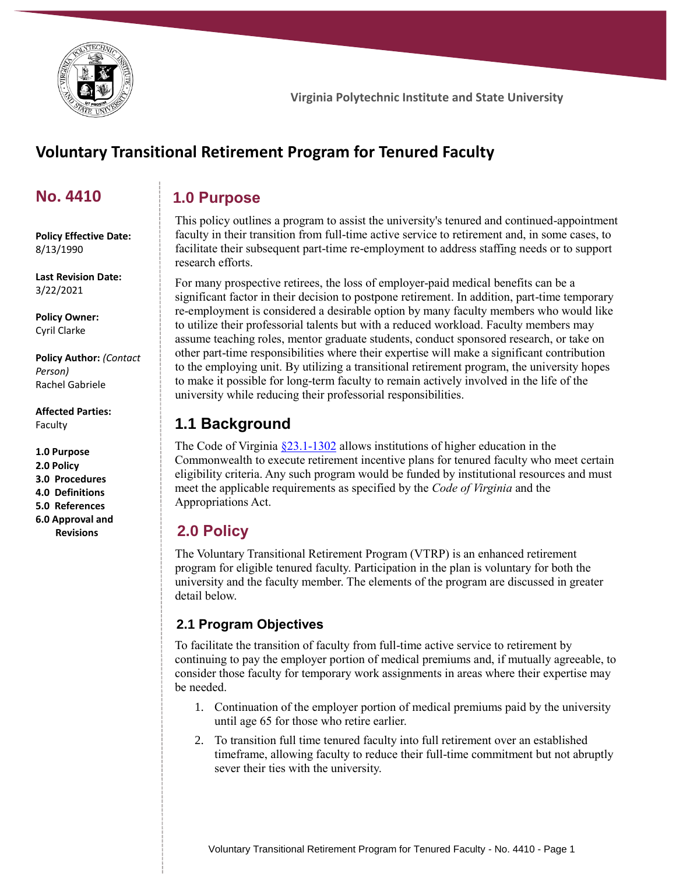

# **Voluntary Transitional Retirement Program for Tenured Faculty**

# **No. 4410**

## **1.0 Purpose**

**Policy Effective Date:** 8/13/1990

**Last Revision Date:** 3/22/2021

**Policy Owner:** Cyril Clarke

**Policy Author:** *(Contact Person)* Rachel Gabriele

**Affected Parties:** Faculty

**1.0 Purpose 2.0 Policy 3.0 Procedures 4.0 Definitions 5.0 References 6.0 Approval and Revisions**

This policy outlines a program to assist the university's tenured and continued-appointment faculty in their transition from full-time active service to retirement and, in some cases, to facilitate their subsequent part-time re-employment to address staffing needs or to support research efforts.

For many prospective retirees, the loss of employer-paid medical benefits can be a significant factor in their decision to postpone retirement. In addition, part-time temporary re-employment is considered a desirable option by many faculty members who would like to utilize their professorial talents but with a reduced workload. Faculty members may assume teaching roles, mentor graduate students, conduct sponsored research, or take on other part-time responsibilities where their expertise will make a significant contribution to the employing unit. By utilizing a transitional retirement program, the university hopes to make it possible for long-term faculty to remain actively involved in the life of the university while reducing their professorial responsibilities.

# **1.1 Background**

The Code of Virginia  $\S 23.1 - 1302$  allows institutions of higher education in the Commonwealth to execute retirement incentive plans for tenured faculty who meet certain eligibility criteria. Any such program would be funded by institutional resources and must meet the applicable requirements as specified by the *Code of Virginia* and the Appropriations Act.

# **2.0 Policy**

The Voluntary Transitional Retirement Program (VTRP) is an enhanced retirement program for eligible tenured faculty. Participation in the plan is voluntary for both the university and the faculty member. The elements of the program are discussed in greater detail below.

### **2.1 Program Objectives**

To facilitate the transition of faculty from full-time active service to retirement by continuing to pay the employer portion of medical premiums and, if mutually agreeable, to consider those faculty for temporary work assignments in areas where their expertise may be needed.

- 1. Continuation of the employer portion of medical premiums paid by the university until age 65 for those who retire earlier.
- 2. To transition full time tenured faculty into full retirement over an established timeframe, allowing faculty to reduce their full-time commitment but not abruptly sever their ties with the university.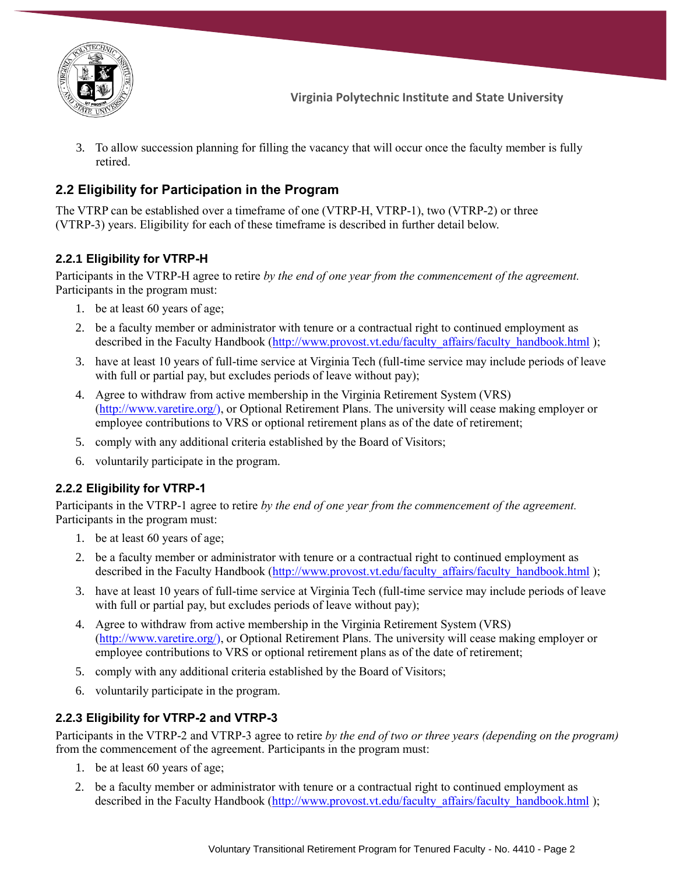

3. To allow succession planning for filling the vacancy that will occur once the faculty member is fully retired.

## **2.2 Eligibility for Participation in the Program**

The VTRP can be established over a timeframe of one (VTRP-H, VTRP-1), two (VTRP-2) or three (VTRP-3) years. Eligibility for each of these timeframe is described in further detail below.

### **2.2.1 Eligibility for VTRP-H**

Participants in the VTRP-H agree to retire *by the end of one year from the commencement of the agreement.* Participants in the program must:

- 1. be at least 60 years of age;
- 2. be a faculty member or administrator with tenure or a contractual right to continued employment as described in the Faculty Handbook [\(http://www.provost.vt.edu/faculty\\_affairs/faculty\\_handbook.html](http://www.provost.vt.edu/faculty_affairs/faculty_handbook.html) );
- 3. have at least 10 years of full-time service at Virginia Tech (full-time service may include periods of leave with full or partial pay, but excludes periods of leave without pay);
- 4. Agree to withdraw from active membership in the Virginia Retirement System (VRS) [\(http://www.varetire.org/\)](http://www.varetire.org/), or Optional Retirement Plans. The university will cease making employer or employee contributions to VRS or optional retirement plans as of the date of retirement;
- 5. comply with any additional criteria established by the Board of Visitors;
- 6. voluntarily participate in the program.

### **2.2.2 Eligibility for VTRP-1**

Participants in the VTRP-1 agree to retire *by the end of one year from the commencement of the agreement.* Participants in the program must:

- 1. be at least 60 years of age;
- 2. be a faculty member or administrator with tenure or a contractual right to continued employment as described in the Faculty Handbook [\(http://www.provost.vt.edu/faculty\\_affairs/faculty\\_handbook.html](http://www.provost.vt.edu/faculty_affairs/faculty_handbook.html) );
- 3. have at least 10 years of full-time service at Virginia Tech (full-time service may include periods of leave with full or partial pay, but excludes periods of leave without pay);
- 4. Agree to withdraw from active membership in the Virginia Retirement System (VRS) [\(http://www.varetire.org/\)](http://www.varetire.org/), or Optional Retirement Plans. The university will cease making employer or employee contributions to VRS or optional retirement plans as of the date of retirement;
- 5. comply with any additional criteria established by the Board of Visitors;
- 6. voluntarily participate in the program.

### **2.2.3 Eligibility for VTRP-2 and VTRP-3**

Participants in the VTRP-2 and VTRP-3 agree to retire *by the end of two or three years (depending on the program)* from the commencement of the agreement. Participants in the program must:

- 1. be at least 60 years of age;
- 2. be a faculty member or administrator with tenure or a contractual right to continued employment as described in the Faculty Handbook [\(http://www.provost.vt.edu/faculty\\_affairs/faculty\\_handbook.html](http://www.provost.vt.edu/faculty_affairs/faculty_handbook.html) );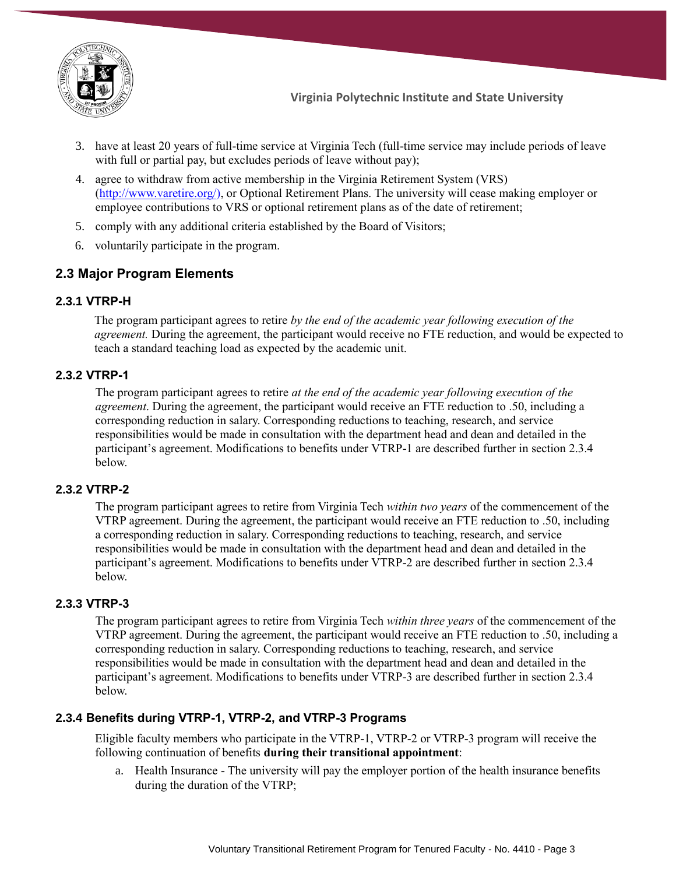

- 3. have at least 20 years of full-time service at Virginia Tech (full-time service may include periods of leave with full or partial pay, but excludes periods of leave without pay);
- 4. agree to withdraw from active membership in the Virginia Retirement System (VRS) [\(http://www.varetire.org/\)](http://www.varetire.org/), or Optional Retirement Plans. The university will cease making employer or employee contributions to VRS or optional retirement plans as of the date of retirement;
- 5. comply with any additional criteria established by the Board of Visitors;
- 6. voluntarily participate in the program.

### **2.3 Major Program Elements**

#### **2.3.1 VTRP-H**

The program participant agrees to retire *by the end of the academic year following execution of the agreement.* During the agreement, the participant would receive no FTE reduction, and would be expected to teach a standard teaching load as expected by the academic unit.

#### **2.3.2 VTRP-1**

The program participant agrees to retire *at the end of the academic year following execution of the agreement*. During the agreement, the participant would receive an FTE reduction to .50, including a corresponding reduction in salary. Corresponding reductions to teaching, research, and service responsibilities would be made in consultation with the department head and dean and detailed in the participant's agreement. Modifications to benefits under VTRP-1 are described further in section 2.3.4 below.

#### **2.3.2 VTRP-2**

The program participant agrees to retire from Virginia Tech *within two years* of the commencement of the VTRP agreement. During the agreement, the participant would receive an FTE reduction to .50, including a corresponding reduction in salary. Corresponding reductions to teaching, research, and service responsibilities would be made in consultation with the department head and dean and detailed in the participant's agreement. Modifications to benefits under VTRP-2 are described further in section 2.3.4 below.

#### **2.3.3 VTRP-3**

The program participant agrees to retire from Virginia Tech *within three years* of the commencement of the VTRP agreement. During the agreement, the participant would receive an FTE reduction to .50, including a corresponding reduction in salary. Corresponding reductions to teaching, research, and service responsibilities would be made in consultation with the department head and dean and detailed in the participant's agreement. Modifications to benefits under VTRP-3 are described further in section 2.3.4 below.

#### **2.3.4 Benefits during VTRP-1, VTRP-2, and VTRP-3 Programs**

Eligible faculty members who participate in the VTRP-1, VTRP-2 or VTRP-3 program will receive the following continuation of benefits **during their transitional appointment**:

a. Health Insurance - The university will pay the employer portion of the health insurance benefits during the duration of the VTRP;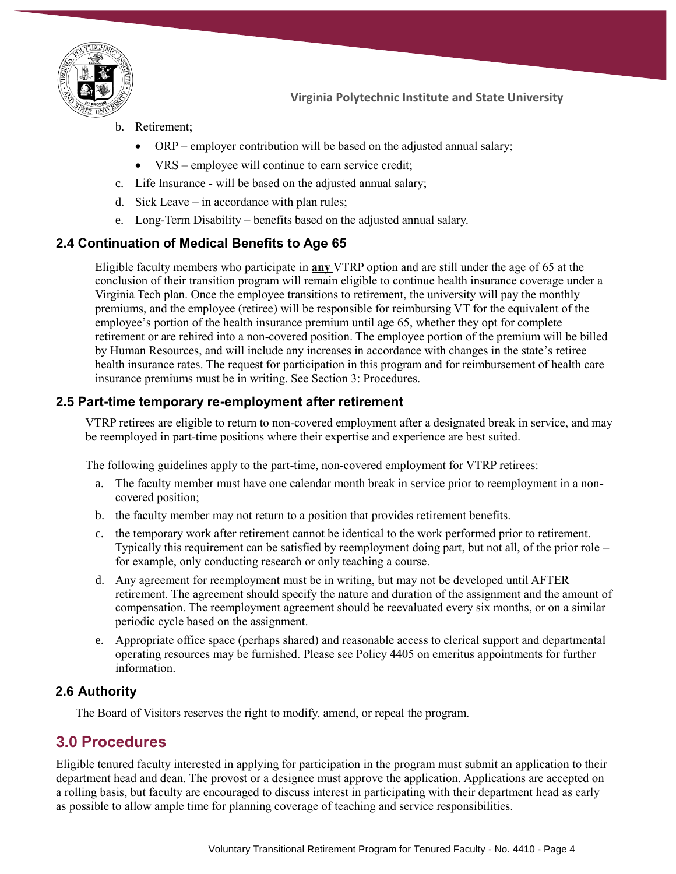

- b. Retirement;
	- ORP employer contribution will be based on the adjusted annual salary;
	- VRS employee will continue to earn service credit;
- c. Life Insurance will be based on the adjusted annual salary;
- d. Sick Leave in accordance with plan rules;
- e. Long-Term Disability benefits based on the adjusted annual salary.

### **2.4 Continuation of Medical Benefits to Age 65**

Eligible faculty members who participate in **any** VTRP option and are still under the age of 65 at the conclusion of their transition program will remain eligible to continue health insurance coverage under a Virginia Tech plan. Once the employee transitions to retirement, the university will pay the monthly premiums, and the employee (retiree) will be responsible for reimbursing VT for the equivalent of the employee's portion of the health insurance premium until age 65, whether they opt for complete retirement or are rehired into a non-covered position. The employee portion of the premium will be billed by Human Resources, and will include any increases in accordance with changes in the state's retiree health insurance rates. The request for participation in this program and for reimbursement of health care insurance premiums must be in writing. See Section 3: Procedures.

### **2.5 Part-time temporary re-employment after retirement**

VTRP retirees are eligible to return to non-covered employment after a designated break in service, and may be reemployed in part-time positions where their expertise and experience are best suited.

The following guidelines apply to the part-time, non-covered employment for VTRP retirees:

- a. The faculty member must have one calendar month break in service prior to reemployment in a noncovered position;
- b. the faculty member may not return to a position that provides retirement benefits.
- c. the temporary work after retirement cannot be identical to the work performed prior to retirement. Typically this requirement can be satisfied by reemployment doing part, but not all, of the prior role – for example, only conducting research or only teaching a course.
- d. Any agreement for reemployment must be in writing, but may not be developed until AFTER retirement. The agreement should specify the nature and duration of the assignment and the amount of compensation. The reemployment agreement should be reevaluated every six months, or on a similar periodic cycle based on the assignment.
- e. Appropriate office space (perhaps shared) and reasonable access to clerical support and departmental operating resources may be furnished. Please see Policy 4405 on emeritus appointments for further information.

### **2.6 Authority**

The Board of Visitors reserves the right to modify, amend, or repeal the program.

# **3.0 Procedures**

Eligible tenured faculty interested in applying for participation in the program must submit an application to their department head and dean. The provost or a designee must approve the application. Applications are accepted on a rolling basis, but faculty are encouraged to discuss interest in participating with their department head as early as possible to allow ample time for planning coverage of teaching and service responsibilities.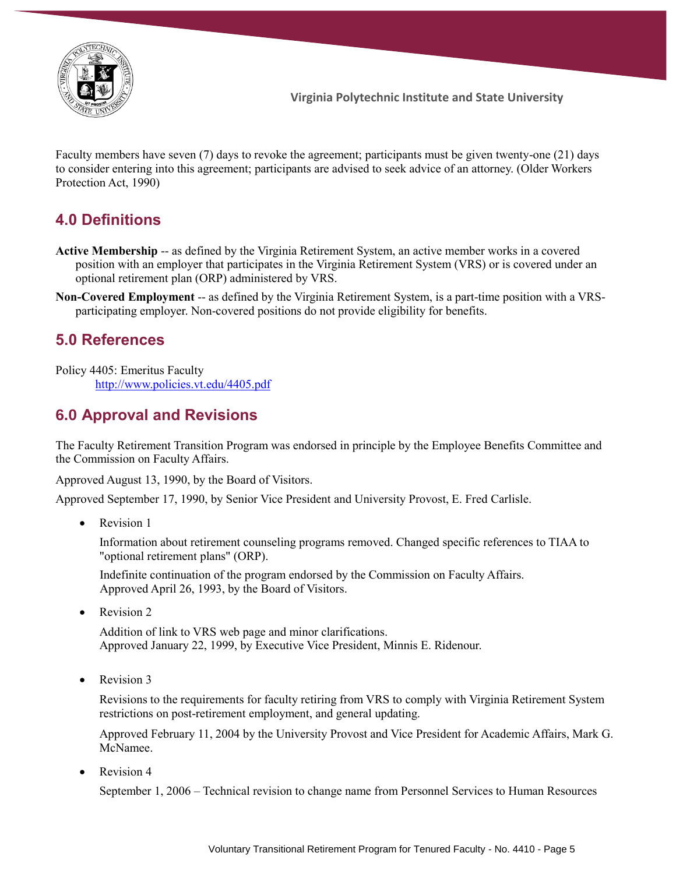

Faculty members have seven (7) days to revoke the agreement; participants must be given twenty-one (21) days to consider entering into this agreement; participants are advised to seek advice of an attorney. (Older Workers Protection Act, 1990)

# **4.0 Definitions**

- **Active Membership** -- as defined by the Virginia Retirement System, an active member works in a covered position with an employer that participates in the Virginia Retirement System (VRS) or is covered under an optional retirement plan (ORP) administered by VRS.
- **Non-Covered Employment** -- as defined by the Virginia Retirement System, is a part-time position with a VRSparticipating employer. Non-covered positions do not provide eligibility for benefits.

## **5.0 References**

Policy 4405: Emeritus Faculty <http://www.policies.vt.edu/4405.pdf>

# **6.0 Approval and Revisions**

The Faculty Retirement Transition Program was endorsed in principle by the Employee Benefits Committee and the Commission on Faculty Affairs.

Approved August 13, 1990, by the Board of Visitors.

Approved September 17, 1990, by Senior Vice President and University Provost, E. Fred Carlisle.

• Revision 1

Information about retirement counseling programs removed. Changed specific references to TIAA to "optional retirement plans" (ORP).

Indefinite continuation of the program endorsed by the Commission on Faculty Affairs. Approved April 26, 1993, by the Board of Visitors.

Revision 2

Addition of link to VRS web page and minor clarifications. Approved January 22, 1999, by Executive Vice President, Minnis E. Ridenour.

Revision 3

Revisions to the requirements for faculty retiring from VRS to comply with Virginia Retirement System restrictions on post-retirement employment, and general updating.

Approved February 11, 2004 by the University Provost and Vice President for Academic Affairs, Mark G. McNamee.

Revision 4

September 1, 2006 – Technical revision to change name from Personnel Services to Human Resources